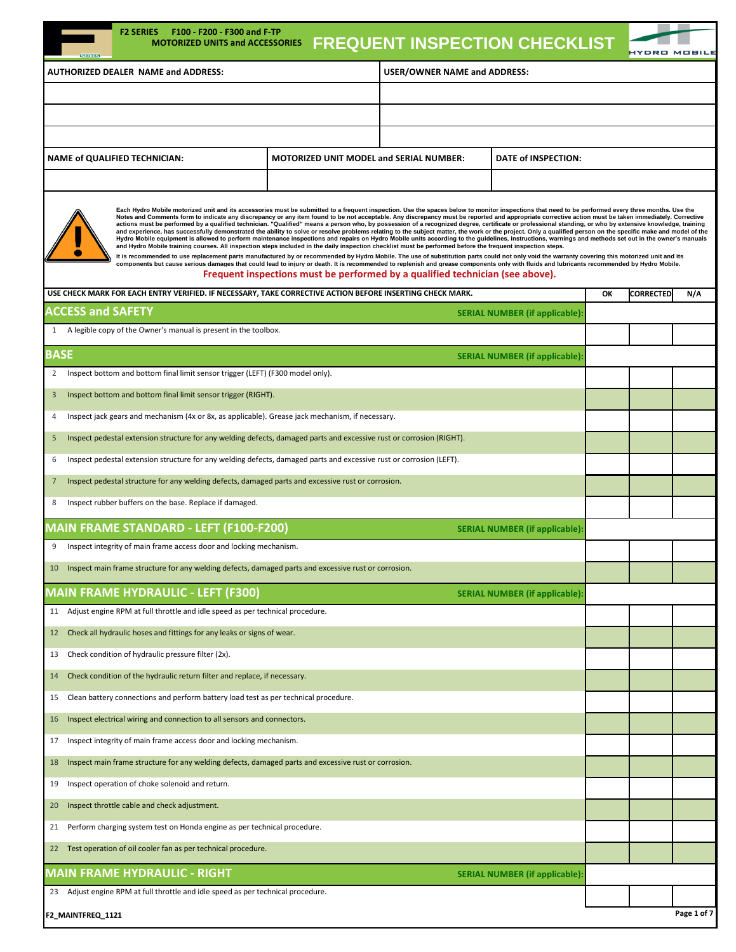| F2 SERIES    F100 - F200 - F300 and F-TP<br><b>MOTORIZED UNITS and ACCESSORIES</b><br><b>GERTES</b>                                                                                                                                                                                                                                                                                                                                                                                                                                                                                                                                                                                                                                                                                                                                                                                                                                                                                                                                                                                                                                                                                                                                                                                                                                                                                                                                                                                                                                                                                                                                                                                             |                                                                         | <b>FREQUENT INSPECTION CHECKLIST</b> |                                       |    |                  |             |
|-------------------------------------------------------------------------------------------------------------------------------------------------------------------------------------------------------------------------------------------------------------------------------------------------------------------------------------------------------------------------------------------------------------------------------------------------------------------------------------------------------------------------------------------------------------------------------------------------------------------------------------------------------------------------------------------------------------------------------------------------------------------------------------------------------------------------------------------------------------------------------------------------------------------------------------------------------------------------------------------------------------------------------------------------------------------------------------------------------------------------------------------------------------------------------------------------------------------------------------------------------------------------------------------------------------------------------------------------------------------------------------------------------------------------------------------------------------------------------------------------------------------------------------------------------------------------------------------------------------------------------------------------------------------------------------------------|-------------------------------------------------------------------------|--------------------------------------|---------------------------------------|----|------------------|-------------|
| <b>USER/OWNER NAME and ADDRESS:</b><br><b>AUTHORIZED DEALER NAME and ADDRESS:</b>                                                                                                                                                                                                                                                                                                                                                                                                                                                                                                                                                                                                                                                                                                                                                                                                                                                                                                                                                                                                                                                                                                                                                                                                                                                                                                                                                                                                                                                                                                                                                                                                               |                                                                         |                                      |                                       |    |                  |             |
|                                                                                                                                                                                                                                                                                                                                                                                                                                                                                                                                                                                                                                                                                                                                                                                                                                                                                                                                                                                                                                                                                                                                                                                                                                                                                                                                                                                                                                                                                                                                                                                                                                                                                                 |                                                                         |                                      |                                       |    |                  |             |
|                                                                                                                                                                                                                                                                                                                                                                                                                                                                                                                                                                                                                                                                                                                                                                                                                                                                                                                                                                                                                                                                                                                                                                                                                                                                                                                                                                                                                                                                                                                                                                                                                                                                                                 |                                                                         |                                      |                                       |    |                  |             |
|                                                                                                                                                                                                                                                                                                                                                                                                                                                                                                                                                                                                                                                                                                                                                                                                                                                                                                                                                                                                                                                                                                                                                                                                                                                                                                                                                                                                                                                                                                                                                                                                                                                                                                 |                                                                         |                                      |                                       |    |                  |             |
| <b>NAME of QUALIFIED TECHNICIAN:</b>                                                                                                                                                                                                                                                                                                                                                                                                                                                                                                                                                                                                                                                                                                                                                                                                                                                                                                                                                                                                                                                                                                                                                                                                                                                                                                                                                                                                                                                                                                                                                                                                                                                            | <b>MOTORIZED UNIT MODEL and SERIAL NUMBER:</b>                          |                                      | DATE of INSPECTION:                   |    |                  |             |
|                                                                                                                                                                                                                                                                                                                                                                                                                                                                                                                                                                                                                                                                                                                                                                                                                                                                                                                                                                                                                                                                                                                                                                                                                                                                                                                                                                                                                                                                                                                                                                                                                                                                                                 |                                                                         |                                      |                                       |    |                  |             |
| Each Hydro Mobile motorized unit and its accessories must be submitted to a frequent inspection. Use the spaces below to monitor inspections that need to be performed every three months. Use the<br>Notes and Comments form to indicate any discrepancy or any item found to be not acceptable. Any discrepancy must be reported and appropriate corrective action must be taken immediately. Corrective<br>actions must be performed by a qualified technician. "Qualified" means a person who, by possession of a recognized degree, certificate or professional standing, or who by extensive knowledge, training<br>and experience, has successfully demonstrated the ability to solve or resolve problems relating to the subject matter, the work or the project. Only a qualified person on the specific make and model of the<br>Hydro Mobile equipment is allowed to perform maintenance inspections and repairs on Hydro Mobile units according to the guidelines, instructions, warnings and methods set out in the owner's manuals<br>and Hydro Mobile training courses. All inspection steps included in the daily inspection checklist must be performed before the frequent inspection steps.<br>It is recommended to use replacement parts manufactured by or recommended by Hydro Mobile. The use of substitution parts could not only void the warranty covering this motorized unit and its<br>components but cause serious damages that could lead to injury or death. It is recommended to replenish and grease components only with fluids and lubricants recommended by Hydro Mobile.<br>Frequent inspections must be performed by a qualified technician (see above). |                                                                         |                                      |                                       |    |                  |             |
| USE CHECK MARK FOR EACH ENTRY VERIFIED. IF NECESSARY, TAKE CORRECTIVE ACTION BEFORE INSERTING CHECK MARK.                                                                                                                                                                                                                                                                                                                                                                                                                                                                                                                                                                                                                                                                                                                                                                                                                                                                                                                                                                                                                                                                                                                                                                                                                                                                                                                                                                                                                                                                                                                                                                                       |                                                                         |                                      |                                       | ОК | <b>CORRECTED</b> | N/A         |
| <b>ACCESS and SAFETY</b>                                                                                                                                                                                                                                                                                                                                                                                                                                                                                                                                                                                                                                                                                                                                                                                                                                                                                                                                                                                                                                                                                                                                                                                                                                                                                                                                                                                                                                                                                                                                                                                                                                                                        |                                                                         |                                      | <b>SERIAL NUMBER (if applicable):</b> |    |                  |             |
| 1 A legible copy of the Owner's manual is present in the toolbox.                                                                                                                                                                                                                                                                                                                                                                                                                                                                                                                                                                                                                                                                                                                                                                                                                                                                                                                                                                                                                                                                                                                                                                                                                                                                                                                                                                                                                                                                                                                                                                                                                               |                                                                         |                                      |                                       |    |                  |             |
| <b>BASE</b>                                                                                                                                                                                                                                                                                                                                                                                                                                                                                                                                                                                                                                                                                                                                                                                                                                                                                                                                                                                                                                                                                                                                                                                                                                                                                                                                                                                                                                                                                                                                                                                                                                                                                     |                                                                         |                                      | <b>SERIAL NUMBER (if applicable):</b> |    |                  |             |
| Inspect bottom and bottom final limit sensor trigger (LEFT) (F300 model only).<br>2                                                                                                                                                                                                                                                                                                                                                                                                                                                                                                                                                                                                                                                                                                                                                                                                                                                                                                                                                                                                                                                                                                                                                                                                                                                                                                                                                                                                                                                                                                                                                                                                             |                                                                         |                                      |                                       |    |                  |             |
| Inspect bottom and bottom final limit sensor trigger (RIGHT).<br>3                                                                                                                                                                                                                                                                                                                                                                                                                                                                                                                                                                                                                                                                                                                                                                                                                                                                                                                                                                                                                                                                                                                                                                                                                                                                                                                                                                                                                                                                                                                                                                                                                              |                                                                         |                                      |                                       |    |                  |             |
| Inspect jack gears and mechanism (4x or 8x, as applicable). Grease jack mechanism, if necessary.<br>4                                                                                                                                                                                                                                                                                                                                                                                                                                                                                                                                                                                                                                                                                                                                                                                                                                                                                                                                                                                                                                                                                                                                                                                                                                                                                                                                                                                                                                                                                                                                                                                           |                                                                         |                                      |                                       |    |                  |             |
| Inspect pedestal extension structure for any welding defects, damaged parts and excessive rust or corrosion (RIGHT).<br>5                                                                                                                                                                                                                                                                                                                                                                                                                                                                                                                                                                                                                                                                                                                                                                                                                                                                                                                                                                                                                                                                                                                                                                                                                                                                                                                                                                                                                                                                                                                                                                       |                                                                         |                                      |                                       |    |                  |             |
| Inspect pedestal extension structure for any welding defects, damaged parts and excessive rust or corrosion (LEFT).<br>6                                                                                                                                                                                                                                                                                                                                                                                                                                                                                                                                                                                                                                                                                                                                                                                                                                                                                                                                                                                                                                                                                                                                                                                                                                                                                                                                                                                                                                                                                                                                                                        |                                                                         |                                      |                                       |    |                  |             |
| Inspect pedestal structure for any welding defects, damaged parts and excessive rust or corrosion.<br>$\overline{7}$                                                                                                                                                                                                                                                                                                                                                                                                                                                                                                                                                                                                                                                                                                                                                                                                                                                                                                                                                                                                                                                                                                                                                                                                                                                                                                                                                                                                                                                                                                                                                                            |                                                                         |                                      |                                       |    |                  |             |
| Inspect rubber buffers on the base. Replace if damaged.<br>8                                                                                                                                                                                                                                                                                                                                                                                                                                                                                                                                                                                                                                                                                                                                                                                                                                                                                                                                                                                                                                                                                                                                                                                                                                                                                                                                                                                                                                                                                                                                                                                                                                    |                                                                         |                                      |                                       |    |                  |             |
| <b>MAIN FRAME STANDARD - LEFT (F100-F200)</b>                                                                                                                                                                                                                                                                                                                                                                                                                                                                                                                                                                                                                                                                                                                                                                                                                                                                                                                                                                                                                                                                                                                                                                                                                                                                                                                                                                                                                                                                                                                                                                                                                                                   |                                                                         |                                      | <b>SERIAL NUMBER (if applicable):</b> |    |                  |             |
| Inspect integrity of main frame access door and locking mechanism.<br>9                                                                                                                                                                                                                                                                                                                                                                                                                                                                                                                                                                                                                                                                                                                                                                                                                                                                                                                                                                                                                                                                                                                                                                                                                                                                                                                                                                                                                                                                                                                                                                                                                         |                                                                         |                                      |                                       |    |                  |             |
| Inspect main frame structure for any welding defects, damaged parts and excessive rust or corrosion.<br>10                                                                                                                                                                                                                                                                                                                                                                                                                                                                                                                                                                                                                                                                                                                                                                                                                                                                                                                                                                                                                                                                                                                                                                                                                                                                                                                                                                                                                                                                                                                                                                                      |                                                                         |                                      |                                       |    |                  |             |
| <b>MAIN FRAME HYDRAULIC - LEFT (F300)</b>                                                                                                                                                                                                                                                                                                                                                                                                                                                                                                                                                                                                                                                                                                                                                                                                                                                                                                                                                                                                                                                                                                                                                                                                                                                                                                                                                                                                                                                                                                                                                                                                                                                       |                                                                         |                                      | <b>SERIAL NUMBER (if applicable):</b> |    |                  |             |
| Adjust engine RPM at full throttle and idle speed as per technical procedure.<br>11                                                                                                                                                                                                                                                                                                                                                                                                                                                                                                                                                                                                                                                                                                                                                                                                                                                                                                                                                                                                                                                                                                                                                                                                                                                                                                                                                                                                                                                                                                                                                                                                             |                                                                         |                                      |                                       |    |                  |             |
| Check all hydraulic hoses and fittings for any leaks or signs of wear.<br>12                                                                                                                                                                                                                                                                                                                                                                                                                                                                                                                                                                                                                                                                                                                                                                                                                                                                                                                                                                                                                                                                                                                                                                                                                                                                                                                                                                                                                                                                                                                                                                                                                    |                                                                         |                                      |                                       |    |                  |             |
| Check condition of hydraulic pressure filter (2x).<br>13                                                                                                                                                                                                                                                                                                                                                                                                                                                                                                                                                                                                                                                                                                                                                                                                                                                                                                                                                                                                                                                                                                                                                                                                                                                                                                                                                                                                                                                                                                                                                                                                                                        |                                                                         |                                      |                                       |    |                  |             |
| Check condition of the hydraulic return filter and replace, if necessary.<br>14                                                                                                                                                                                                                                                                                                                                                                                                                                                                                                                                                                                                                                                                                                                                                                                                                                                                                                                                                                                                                                                                                                                                                                                                                                                                                                                                                                                                                                                                                                                                                                                                                 |                                                                         |                                      |                                       |    |                  |             |
| Clean battery connections and perform battery load test as per technical procedure.<br>15                                                                                                                                                                                                                                                                                                                                                                                                                                                                                                                                                                                                                                                                                                                                                                                                                                                                                                                                                                                                                                                                                                                                                                                                                                                                                                                                                                                                                                                                                                                                                                                                       |                                                                         |                                      |                                       |    |                  |             |
| 16                                                                                                                                                                                                                                                                                                                                                                                                                                                                                                                                                                                                                                                                                                                                                                                                                                                                                                                                                                                                                                                                                                                                                                                                                                                                                                                                                                                                                                                                                                                                                                                                                                                                                              | Inspect electrical wiring and connection to all sensors and connectors. |                                      |                                       |    |                  |             |
| Inspect integrity of main frame access door and locking mechanism.<br>17                                                                                                                                                                                                                                                                                                                                                                                                                                                                                                                                                                                                                                                                                                                                                                                                                                                                                                                                                                                                                                                                                                                                                                                                                                                                                                                                                                                                                                                                                                                                                                                                                        |                                                                         |                                      |                                       |    |                  |             |
| Inspect main frame structure for any welding defects, damaged parts and excessive rust or corrosion.<br>18                                                                                                                                                                                                                                                                                                                                                                                                                                                                                                                                                                                                                                                                                                                                                                                                                                                                                                                                                                                                                                                                                                                                                                                                                                                                                                                                                                                                                                                                                                                                                                                      |                                                                         |                                      |                                       |    |                  |             |
| Inspect operation of choke solenoid and return.<br>19                                                                                                                                                                                                                                                                                                                                                                                                                                                                                                                                                                                                                                                                                                                                                                                                                                                                                                                                                                                                                                                                                                                                                                                                                                                                                                                                                                                                                                                                                                                                                                                                                                           |                                                                         |                                      |                                       |    |                  |             |
| Inspect throttle cable and check adjustment.<br>20                                                                                                                                                                                                                                                                                                                                                                                                                                                                                                                                                                                                                                                                                                                                                                                                                                                                                                                                                                                                                                                                                                                                                                                                                                                                                                                                                                                                                                                                                                                                                                                                                                              |                                                                         |                                      |                                       |    |                  |             |
| Perform charging system test on Honda engine as per technical procedure.<br>21                                                                                                                                                                                                                                                                                                                                                                                                                                                                                                                                                                                                                                                                                                                                                                                                                                                                                                                                                                                                                                                                                                                                                                                                                                                                                                                                                                                                                                                                                                                                                                                                                  |                                                                         |                                      |                                       |    |                  |             |
| Test operation of oil cooler fan as per technical procedure.<br>22                                                                                                                                                                                                                                                                                                                                                                                                                                                                                                                                                                                                                                                                                                                                                                                                                                                                                                                                                                                                                                                                                                                                                                                                                                                                                                                                                                                                                                                                                                                                                                                                                              |                                                                         |                                      |                                       |    |                  |             |
| MAIN FRAME HYDRAULIC - RIGHT                                                                                                                                                                                                                                                                                                                                                                                                                                                                                                                                                                                                                                                                                                                                                                                                                                                                                                                                                                                                                                                                                                                                                                                                                                                                                                                                                                                                                                                                                                                                                                                                                                                                    |                                                                         |                                      | <b>SERIAL NUMBER (if applicable):</b> |    |                  |             |
| Adjust engine RPM at full throttle and idle speed as per technical procedure.<br>23                                                                                                                                                                                                                                                                                                                                                                                                                                                                                                                                                                                                                                                                                                                                                                                                                                                                                                                                                                                                                                                                                                                                                                                                                                                                                                                                                                                                                                                                                                                                                                                                             |                                                                         |                                      |                                       |    |                  |             |
| F2_MAINTFREQ_1121                                                                                                                                                                                                                                                                                                                                                                                                                                                                                                                                                                                                                                                                                                                                                                                                                                                                                                                                                                                                                                                                                                                                                                                                                                                                                                                                                                                                                                                                                                                                                                                                                                                                               |                                                                         |                                      |                                       |    |                  | Page 1 of 7 |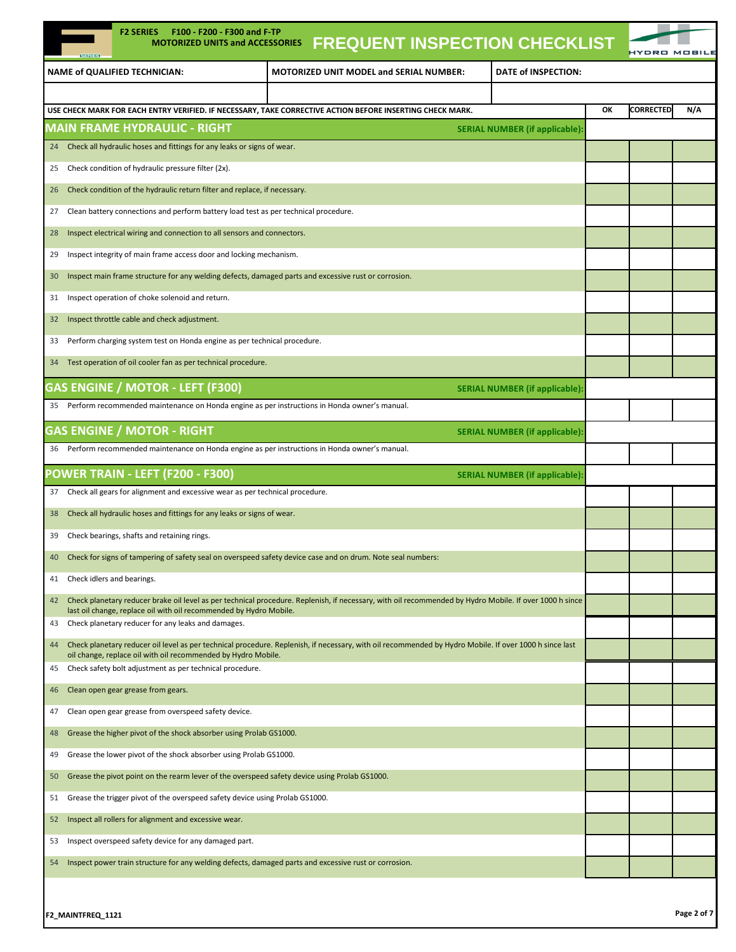| <b>F2 SERIES</b><br>F100 - F200 - F300 and F-TP<br><b>MOTORIZED UNITS and ACCESSORIES</b><br><b>GERIES</b>                      | <b>FREQUENT INSPECTION CHECKLIST</b>                                                                                                                    |                                       |    |                  |             |
|---------------------------------------------------------------------------------------------------------------------------------|---------------------------------------------------------------------------------------------------------------------------------------------------------|---------------------------------------|----|------------------|-------------|
| <b>NAME of QUALIFIED TECHNICIAN:</b>                                                                                            | <b>MOTORIZED UNIT MODEL and SERIAL NUMBER:</b>                                                                                                          | DATE of INSPECTION:                   |    |                  |             |
|                                                                                                                                 |                                                                                                                                                         |                                       |    |                  |             |
| USE CHECK MARK FOR EACH ENTRY VERIFIED. IF NECESSARY, TAKE CORRECTIVE ACTION BEFORE INSERTING CHECK MARK.                       |                                                                                                                                                         |                                       | ОК | <b>CORRECTED</b> | N/A         |
| <b>MAIN FRAME HYDRAULIC - RIGHT</b>                                                                                             |                                                                                                                                                         | <b>SERIAL NUMBER (if applicable):</b> |    |                  |             |
| Check all hydraulic hoses and fittings for any leaks or signs of wear.<br>24                                                    |                                                                                                                                                         |                                       |    |                  |             |
| Check condition of hydraulic pressure filter (2x).<br>25                                                                        |                                                                                                                                                         |                                       |    |                  |             |
| Check condition of the hydraulic return filter and replace, if necessary.<br>26                                                 |                                                                                                                                                         |                                       |    |                  |             |
| Clean battery connections and perform battery load test as per technical procedure.<br>27                                       |                                                                                                                                                         |                                       |    |                  |             |
| Inspect electrical wiring and connection to all sensors and connectors.<br>28                                                   |                                                                                                                                                         |                                       |    |                  |             |
| Inspect integrity of main frame access door and locking mechanism.<br>29                                                        |                                                                                                                                                         |                                       |    |                  |             |
| Inspect main frame structure for any welding defects, damaged parts and excessive rust or corrosion.<br>30                      |                                                                                                                                                         |                                       |    |                  |             |
| Inspect operation of choke solenoid and return.<br>31                                                                           |                                                                                                                                                         |                                       |    |                  |             |
| Inspect throttle cable and check adjustment.<br>32                                                                              |                                                                                                                                                         |                                       |    |                  |             |
| Perform charging system test on Honda engine as per technical procedure.<br>33                                                  |                                                                                                                                                         |                                       |    |                  |             |
| Test operation of oil cooler fan as per technical procedure.<br>34                                                              |                                                                                                                                                         |                                       |    |                  |             |
| <b>GAS ENGINE / MOTOR - LEFT (F300)</b>                                                                                         |                                                                                                                                                         | <b>SERIAL NUMBER (if applicable):</b> |    |                  |             |
| Perform recommended maintenance on Honda engine as per instructions in Honda owner's manual.<br>35                              |                                                                                                                                                         |                                       |    |                  |             |
| <b>GAS ENGINE / MOTOR - RIGHT</b>                                                                                               |                                                                                                                                                         | <b>SERIAL NUMBER (if applicable):</b> |    |                  |             |
| Perform recommended maintenance on Honda engine as per instructions in Honda owner's manual.<br>36                              |                                                                                                                                                         |                                       |    |                  |             |
| POWER TRAIN - LEFT (F200 - F300)                                                                                                |                                                                                                                                                         | <b>SERIAL NUMBER (if applicable):</b> |    |                  |             |
| Check all gears for alignment and excessive wear as per technical procedure.<br>37                                              |                                                                                                                                                         |                                       |    |                  |             |
| Check all hydraulic hoses and fittings for any leaks or signs of wear.<br>38                                                    |                                                                                                                                                         |                                       |    |                  |             |
| Check bearings, shafts and retaining rings.<br>39                                                                               |                                                                                                                                                         |                                       |    |                  |             |
| Check for signs of tampering of safety seal on overspeed safety device case and on drum. Note seal numbers:<br>40               |                                                                                                                                                         |                                       |    |                  |             |
| Check idlers and bearings.<br>41                                                                                                |                                                                                                                                                         |                                       |    |                  |             |
| 42                                                                                                                              | Check planetary reducer brake oil level as per technical procedure. Replenish, if necessary, with oil recommended by Hydro Mobile. If over 1000 h since |                                       |    |                  |             |
| last oil change, replace oil with oil recommended by Hydro Mobile.<br>Check planetary reducer for any leaks and damages.<br>43  |                                                                                                                                                         |                                       |    |                  |             |
| 44                                                                                                                              | Check planetary reducer oil level as per technical procedure. Replenish, if necessary, with oil recommended by Hydro Mobile. If over 1000 h since last  |                                       |    |                  |             |
| oil change, replace oil with oil recommended by Hydro Mobile.<br>Check safety bolt adjustment as per technical procedure.<br>45 |                                                                                                                                                         |                                       |    |                  |             |
| Clean open gear grease from gears.                                                                                              |                                                                                                                                                         |                                       |    |                  |             |
| 46                                                                                                                              |                                                                                                                                                         |                                       |    |                  |             |
| Clean open gear grease from overspeed safety device.<br>47                                                                      |                                                                                                                                                         |                                       |    |                  |             |
| Grease the higher pivot of the shock absorber using Prolab GS1000.<br>48                                                        |                                                                                                                                                         |                                       |    |                  |             |
| Grease the lower pivot of the shock absorber using Prolab GS1000.<br>49                                                         |                                                                                                                                                         |                                       |    |                  |             |
| Grease the pivot point on the rearm lever of the overspeed safety device using Prolab GS1000.<br>50                             |                                                                                                                                                         |                                       |    |                  |             |
| Grease the trigger pivot of the overspeed safety device using Prolab GS1000.<br>51                                              |                                                                                                                                                         |                                       |    |                  |             |
| Inspect all rollers for alignment and excessive wear.<br>52                                                                     |                                                                                                                                                         |                                       |    |                  |             |
| Inspect overspeed safety device for any damaged part.<br>53                                                                     |                                                                                                                                                         |                                       |    |                  |             |
| Inspect power train structure for any welding defects, damaged parts and excessive rust or corrosion.<br>54                     |                                                                                                                                                         |                                       |    |                  |             |
|                                                                                                                                 |                                                                                                                                                         |                                       |    |                  |             |
| F2_MAINTFREQ_1121                                                                                                               |                                                                                                                                                         |                                       |    |                  | Page 2 of 7 |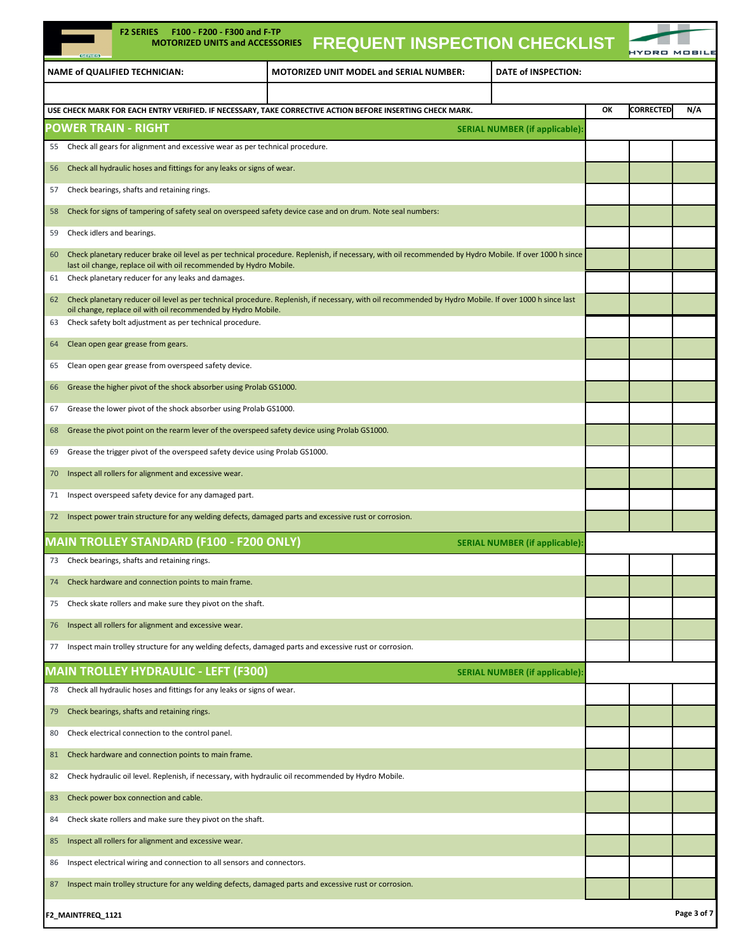| <b>F2 SERIES</b><br>F100 - F200 - F300 and F-TP<br><b>MOTORIZED UNITS and ACCESSORIES</b>                                                                     |                                                | <b>FREQUENT INSPECTION CHECKLIST</b>  |    |                  |             |
|---------------------------------------------------------------------------------------------------------------------------------------------------------------|------------------------------------------------|---------------------------------------|----|------------------|-------------|
|                                                                                                                                                               |                                                |                                       |    | HYDRO MOBIL      |             |
| <b>NAME of QUALIFIED TECHNICIAN:</b>                                                                                                                          | <b>MOTORIZED UNIT MODEL and SERIAL NUMBER:</b> | DATE of INSPECTION:                   |    |                  |             |
| USE CHECK MARK FOR EACH ENTRY VERIFIED. IF NECESSARY, TAKE CORRECTIVE ACTION BEFORE INSERTING CHECK MARK.                                                     |                                                |                                       | OK | <b>CORRECTED</b> | N/A         |
| <b>POWER TRAIN - RIGHT</b>                                                                                                                                    |                                                | <b>SERIAL NUMBER (if applicable):</b> |    |                  |             |
| 55 Check all gears for alignment and excessive wear as per technical procedure.                                                                               |                                                |                                       |    |                  |             |
| Check all hydraulic hoses and fittings for any leaks or signs of wear.<br>56                                                                                  |                                                |                                       |    |                  |             |
| Check bearings, shafts and retaining rings.<br>57                                                                                                             |                                                |                                       |    |                  |             |
| Check for signs of tampering of safety seal on overspeed safety device case and on drum. Note seal numbers:<br>58                                             |                                                |                                       |    |                  |             |
| Check idlers and bearings.<br>59                                                                                                                              |                                                |                                       |    |                  |             |
| Check planetary reducer brake oil level as per technical procedure. Replenish, if necessary, with oil recommended by Hydro Mobile. If over 1000 h since<br>60 |                                                |                                       |    |                  |             |
| last oil change, replace oil with oil recommended by Hydro Mobile.<br>Check planetary reducer for any leaks and damages.<br>61                                |                                                |                                       |    |                  |             |
| Check planetary reducer oil level as per technical procedure. Replenish, if necessary, with oil recommended by Hydro Mobile. If over 1000 h since last<br>62  |                                                |                                       |    |                  |             |
| oil change, replace oil with oil recommended by Hydro Mobile.<br>Check safety bolt adjustment as per technical procedure.<br>63                               |                                                |                                       |    |                  |             |
| Clean open gear grease from gears.<br>64                                                                                                                      |                                                |                                       |    |                  |             |
| Clean open gear grease from overspeed safety device.<br>65                                                                                                    |                                                |                                       |    |                  |             |
| Grease the higher pivot of the shock absorber using Prolab GS1000.<br>66                                                                                      |                                                |                                       |    |                  |             |
| Grease the lower pivot of the shock absorber using Prolab GS1000.<br>67                                                                                       |                                                |                                       |    |                  |             |
| Grease the pivot point on the rearm lever of the overspeed safety device using Prolab GS1000.<br>68                                                           |                                                |                                       |    |                  |             |
| Grease the trigger pivot of the overspeed safety device using Prolab GS1000.<br>69                                                                            |                                                |                                       |    |                  |             |
|                                                                                                                                                               |                                                |                                       |    |                  |             |
| Inspect all rollers for alignment and excessive wear.<br>70                                                                                                   |                                                |                                       |    |                  |             |
| Inspect overspeed safety device for any damaged part.<br>71                                                                                                   |                                                |                                       |    |                  |             |
| Inspect power train structure for any welding defects, damaged parts and excessive rust or corrosion.<br>72                                                   |                                                |                                       |    |                  |             |
| MAIN TROLLEY STANDARD (F100 - F200 ONLY)                                                                                                                      |                                                | <b>SERIAL NUMBER (if applicable):</b> |    |                  |             |
| 73 Check bearings, shafts and retaining rings.                                                                                                                |                                                |                                       |    |                  |             |
| Check hardware and connection points to main frame.<br>74                                                                                                     |                                                |                                       |    |                  |             |
| Check skate rollers and make sure they pivot on the shaft.<br>75                                                                                              |                                                |                                       |    |                  |             |
| Inspect all rollers for alignment and excessive wear.<br>76                                                                                                   |                                                |                                       |    |                  |             |
| Inspect main trolley structure for any welding defects, damaged parts and excessive rust or corrosion.<br>77                                                  |                                                |                                       |    |                  |             |
| <b>MAIN TROLLEY HYDRAULIC - LEFT (F300)</b>                                                                                                                   |                                                | <b>SERIAL NUMBER (if applicable):</b> |    |                  |             |
| Check all hydraulic hoses and fittings for any leaks or signs of wear.<br>78                                                                                  |                                                |                                       |    |                  |             |
| Check bearings, shafts and retaining rings.<br>79                                                                                                             |                                                |                                       |    |                  |             |
| Check electrical connection to the control panel.<br>80                                                                                                       |                                                |                                       |    |                  |             |
| Check hardware and connection points to main frame.<br>81                                                                                                     |                                                |                                       |    |                  |             |
| Check hydraulic oil level. Replenish, if necessary, with hydraulic oil recommended by Hydro Mobile.<br>82                                                     |                                                |                                       |    |                  |             |
| Check power box connection and cable.<br>83                                                                                                                   |                                                |                                       |    |                  |             |
| Check skate rollers and make sure they pivot on the shaft.<br>84                                                                                              |                                                |                                       |    |                  |             |
| Inspect all rollers for alignment and excessive wear.<br>85                                                                                                   |                                                |                                       |    |                  |             |
| Inspect electrical wiring and connection to all sensors and connectors.<br>86                                                                                 |                                                |                                       |    |                  |             |
| Inspect main trolley structure for any welding defects, damaged parts and excessive rust or corrosion.<br>87                                                  |                                                |                                       |    |                  |             |
| F2_MAINTFREQ_1121                                                                                                                                             |                                                |                                       |    |                  | Page 3 of 7 |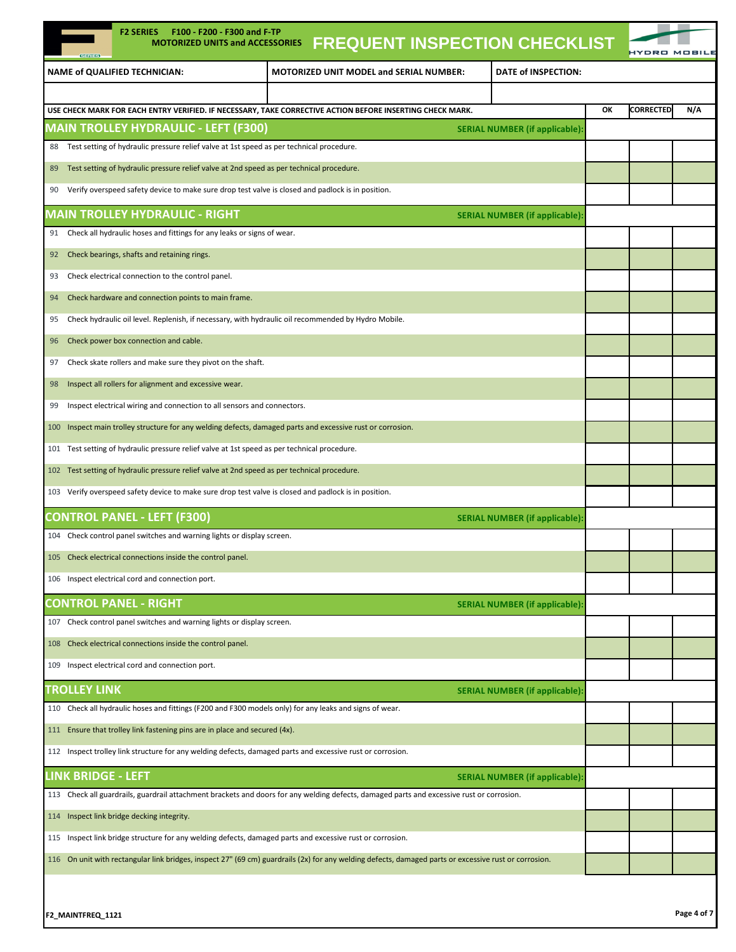| <b>F2 SERIES</b><br>F100 - F200 - F300 and F-TP<br><b>MOTORIZED UNITS and ACCESSORIES</b><br><b>GERTES</b>                                            | <b>FREQUENT INSPECTION CHECKLIST</b>                                                                                                      |                                       |                        |             |  |
|-------------------------------------------------------------------------------------------------------------------------------------------------------|-------------------------------------------------------------------------------------------------------------------------------------------|---------------------------------------|------------------------|-------------|--|
| NAME of QUALIFIED TECHNICIAN:                                                                                                                         | MOTORIZED UNIT MODEL and SERIAL NUMBER:                                                                                                   | DATE of INSPECTION:                   |                        |             |  |
|                                                                                                                                                       |                                                                                                                                           |                                       |                        |             |  |
| USE CHECK MARK FOR EACH ENTRY VERIFIED. IF NECESSARY, TAKE CORRECTIVE ACTION BEFORE INSERTING CHECK MARK.                                             |                                                                                                                                           |                                       | <b>CORRECTED</b><br>ОК | N/A         |  |
| <b>MAIN TROLLEY HYDRAULIC - LEFT (F300)</b>                                                                                                           |                                                                                                                                           | <b>SERIAL NUMBER (if applicable):</b> |                        |             |  |
| Test setting of hydraulic pressure relief valve at 1st speed as per technical procedure.<br>88                                                        |                                                                                                                                           |                                       |                        |             |  |
| Test setting of hydraulic pressure relief valve at 2nd speed as per technical procedure.<br>89                                                        |                                                                                                                                           |                                       |                        |             |  |
| Verify overspeed safety device to make sure drop test valve is closed and padlock is in position.<br>90                                               |                                                                                                                                           |                                       |                        |             |  |
| <b>MAIN TROLLEY HYDRAULIC - RIGHT</b>                                                                                                                 |                                                                                                                                           | <b>SERIAL NUMBER (if applicable):</b> |                        |             |  |
| Check all hydraulic hoses and fittings for any leaks or signs of wear.<br>91                                                                          |                                                                                                                                           |                                       |                        |             |  |
| Check bearings, shafts and retaining rings.<br>92                                                                                                     |                                                                                                                                           |                                       |                        |             |  |
| Check electrical connection to the control panel.<br>93                                                                                               |                                                                                                                                           |                                       |                        |             |  |
| Check hardware and connection points to main frame.<br>94                                                                                             |                                                                                                                                           |                                       |                        |             |  |
| Check hydraulic oil level. Replenish, if necessary, with hydraulic oil recommended by Hydro Mobile.<br>95                                             |                                                                                                                                           |                                       |                        |             |  |
| Check power box connection and cable.<br>96                                                                                                           |                                                                                                                                           |                                       |                        |             |  |
| Check skate rollers and make sure they pivot on the shaft.<br>97                                                                                      |                                                                                                                                           |                                       |                        |             |  |
| Inspect all rollers for alignment and excessive wear.<br>98                                                                                           |                                                                                                                                           |                                       |                        |             |  |
| Inspect electrical wiring and connection to all sensors and connectors.<br>99                                                                         |                                                                                                                                           |                                       |                        |             |  |
| Inspect main trolley structure for any welding defects, damaged parts and excessive rust or corrosion.<br>100                                         |                                                                                                                                           |                                       |                        |             |  |
| Test setting of hydraulic pressure relief valve at 1st speed as per technical procedure.<br>101                                                       |                                                                                                                                           |                                       |                        |             |  |
| Test setting of hydraulic pressure relief valve at 2nd speed as per technical procedure.<br>102                                                       |                                                                                                                                           |                                       |                        |             |  |
| Verify overspeed safety device to make sure drop test valve is closed and padlock is in position.<br>103                                              |                                                                                                                                           |                                       |                        |             |  |
| <b>CONTROL PANEL - LEFT (F300)</b>                                                                                                                    |                                                                                                                                           | <b>SERIAL NUMBER (if applicable):</b> |                        |             |  |
| 104 Check control panel switches and warning lights or display screen.                                                                                |                                                                                                                                           |                                       |                        |             |  |
| 105 Check electrical connections inside the control panel.                                                                                            |                                                                                                                                           |                                       |                        |             |  |
| 106 Inspect electrical cord and connection port.                                                                                                      |                                                                                                                                           |                                       |                        |             |  |
| <b>CONTROL PANEL - RIGHT</b>                                                                                                                          |                                                                                                                                           | <b>SERIAL NUMBER (if applicable):</b> |                        |             |  |
| 107 Check control panel switches and warning lights or display screen.                                                                                |                                                                                                                                           |                                       |                        |             |  |
| Check electrical connections inside the control panel.<br>108                                                                                         |                                                                                                                                           |                                       |                        |             |  |
| Inspect electrical cord and connection port.<br>109                                                                                                   |                                                                                                                                           |                                       |                        |             |  |
| <b>TROLLEY LINK</b>                                                                                                                                   |                                                                                                                                           | <b>SERIAL NUMBER (if applicable)</b>  |                        |             |  |
| 110 Check all hydraulic hoses and fittings (F200 and F300 models only) for any leaks and signs of wear.                                               |                                                                                                                                           |                                       |                        |             |  |
| Ensure that trolley link fastening pins are in place and secured (4x).<br>111                                                                         |                                                                                                                                           |                                       |                        |             |  |
| 112 Inspect trolley link structure for any welding defects, damaged parts and excessive rust or corrosion.                                            |                                                                                                                                           |                                       |                        |             |  |
| <b>LINK BRIDGE - LEFT</b>                                                                                                                             |                                                                                                                                           | <b>SERIAL NUMBER (if applicable):</b> |                        |             |  |
|                                                                                                                                                       | 113 Check all guardrails, guardrail attachment brackets and doors for any welding defects, damaged parts and excessive rust or corrosion. |                                       |                        |             |  |
| Inspect link bridge decking integrity.<br>114                                                                                                         |                                                                                                                                           |                                       |                        |             |  |
| Inspect link bridge structure for any welding defects, damaged parts and excessive rust or corrosion.<br>115                                          |                                                                                                                                           |                                       |                        |             |  |
| 116 On unit with rectangular link bridges, inspect 27" (69 cm) guardrails (2x) for any welding defects, damaged parts or excessive rust or corrosion. |                                                                                                                                           |                                       |                        |             |  |
|                                                                                                                                                       |                                                                                                                                           |                                       |                        |             |  |
| F2_MAINTFREQ_1121                                                                                                                                     |                                                                                                                                           |                                       |                        | Page 4 of 7 |  |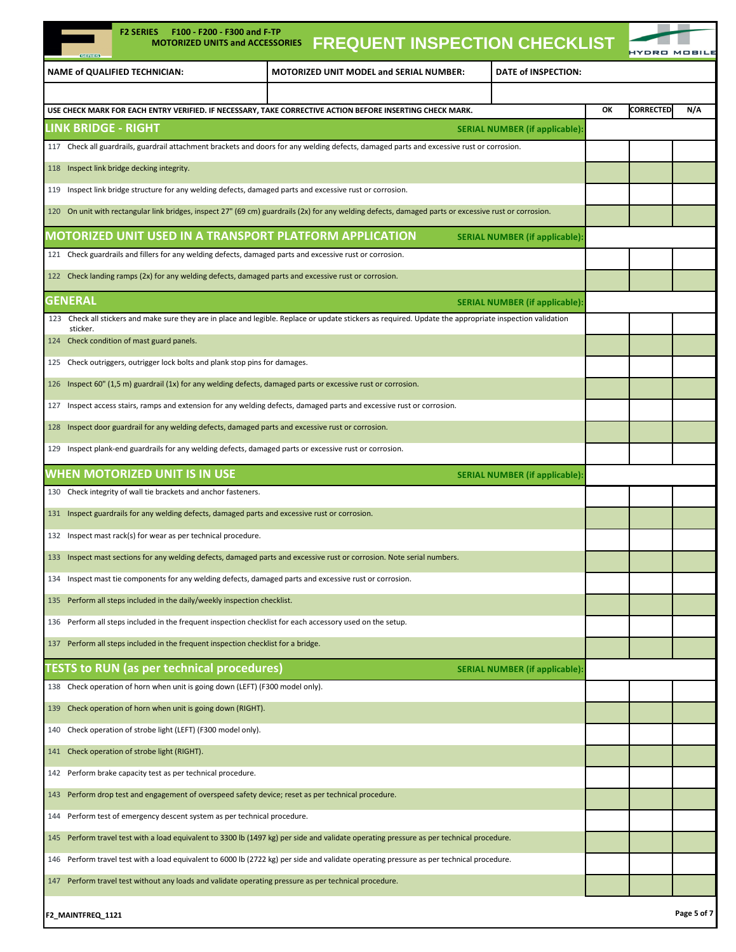| <b>F2 SERIES</b><br>F100 - F200 - F300 and F-TP<br><b>MOTORIZED UNITS and ACCESSORIES</b><br><b>GREETES</b>               | <b>FREQUENT INSPECTION CHECKLIST</b>                                                                                                                     |                                       | IYDRO MO               |             |
|---------------------------------------------------------------------------------------------------------------------------|----------------------------------------------------------------------------------------------------------------------------------------------------------|---------------------------------------|------------------------|-------------|
| <b>NAME of QUALIFIED TECHNICIAN:</b>                                                                                      | <b>MOTORIZED UNIT MODEL and SERIAL NUMBER:</b>                                                                                                           | DATE of INSPECTION:                   |                        |             |
|                                                                                                                           |                                                                                                                                                          |                                       |                        |             |
| USE CHECK MARK FOR EACH ENTRY VERIFIED. IF NECESSARY, TAKE CORRECTIVE ACTION BEFORE INSERTING CHECK MARK.                 |                                                                                                                                                          |                                       | ОΚ<br><b>CORRECTED</b> | N/A         |
| LINK BRIDGE - RIGHT                                                                                                       |                                                                                                                                                          | <b>SERIAL NUMBER (if applicable):</b> |                        |             |
|                                                                                                                           | 117 Check all guardrails, guardrail attachment brackets and doors for any welding defects, damaged parts and excessive rust or corrosion.                |                                       |                        |             |
| Inspect link bridge decking integrity.<br>118                                                                             |                                                                                                                                                          |                                       |                        |             |
| Inspect link bridge structure for any welding defects, damaged parts and excessive rust or corrosion.<br>119              |                                                                                                                                                          |                                       |                        |             |
| 120                                                                                                                       | On unit with rectangular link bridges, inspect 27" (69 cm) guardrails (2x) for any welding defects, damaged parts or excessive rust or corrosion.        |                                       |                        |             |
| MOTORIZED UNIT USED IN A TRANSPORT PLATFORM APPLICATION                                                                   |                                                                                                                                                          | <b>SERIAL NUMBER (if applicable):</b> |                        |             |
| 121 Check guardrails and fillers for any welding defects, damaged parts and excessive rust or corrosion.                  |                                                                                                                                                          |                                       |                        |             |
| Check landing ramps (2x) for any welding defects, damaged parts and excessive rust or corrosion.<br>122                   |                                                                                                                                                          |                                       |                        |             |
| GENERAL                                                                                                                   |                                                                                                                                                          | <b>SERIAL NUMBER (if applicable):</b> |                        |             |
| sticker.                                                                                                                  | 123 Check all stickers and make sure they are in place and legible. Replace or update stickers as required. Update the appropriate inspection validation |                                       |                        |             |
| Check condition of mast guard panels.<br>124                                                                              |                                                                                                                                                          |                                       |                        |             |
| Check outriggers, outrigger lock bolts and plank stop pins for damages.<br>125                                            |                                                                                                                                                          |                                       |                        |             |
| Inspect 60" (1,5 m) guardrail (1x) for any welding defects, damaged parts or excessive rust or corrosion.<br>126          |                                                                                                                                                          |                                       |                        |             |
| Inspect access stairs, ramps and extension for any welding defects, damaged parts and excessive rust or corrosion.<br>127 |                                                                                                                                                          |                                       |                        |             |
| Inspect door guardrail for any welding defects, damaged parts and excessive rust or corrosion.<br>128                     |                                                                                                                                                          |                                       |                        |             |
| Inspect plank-end guardrails for any welding defects, damaged parts or excessive rust or corrosion.<br>129                |                                                                                                                                                          |                                       |                        |             |
| WHEN MOTORIZED UNIT IS IN USE                                                                                             |                                                                                                                                                          | <b>SERIAL NUMBER (if applicable):</b> |                        |             |
| Check integrity of wall tie brackets and anchor fasteners.<br>130                                                         |                                                                                                                                                          |                                       |                        |             |
| Inspect guardrails for any welding defects, damaged parts and excessive rust or corrosion.<br>131                         |                                                                                                                                                          |                                       |                        |             |
| Inspect mast rack(s) for wear as per technical procedure.<br>132                                                          |                                                                                                                                                          |                                       |                        |             |
| 133 Inspect mast sections for any welding defects, damaged parts and excessive rust or corrosion. Note serial numbers     |                                                                                                                                                          |                                       |                        |             |
| Inspect mast tie components for any welding defects, damaged parts and excessive rust or corrosion.<br>134                |                                                                                                                                                          |                                       |                        |             |
| Perform all steps included in the daily/weekly inspection checklist.<br>135                                               |                                                                                                                                                          |                                       |                        |             |
| Perform all steps included in the frequent inspection checklist for each accessory used on the setup.<br>136              |                                                                                                                                                          |                                       |                        |             |
| Perform all steps included in the frequent inspection checklist for a bridge.<br>137                                      |                                                                                                                                                          |                                       |                        |             |
| <b>ESTS to RUN (as per technical procedures)</b>                                                                          |                                                                                                                                                          | <b>SERIAL NUMBER (if applicable):</b> |                        |             |
| Check operation of horn when unit is going down (LEFT) (F300 model only).<br>138                                          |                                                                                                                                                          |                                       |                        |             |
| Check operation of horn when unit is going down (RIGHT).<br>139                                                           |                                                                                                                                                          |                                       |                        |             |
| Check operation of strobe light (LEFT) (F300 model only).<br>140                                                          |                                                                                                                                                          |                                       |                        |             |
| Check operation of strobe light (RIGHT).<br>141                                                                           |                                                                                                                                                          |                                       |                        |             |
| Perform brake capacity test as per technical procedure.<br>142                                                            |                                                                                                                                                          |                                       |                        |             |
| Perform drop test and engagement of overspeed safety device; reset as per technical procedure.<br>143                     |                                                                                                                                                          |                                       |                        |             |
| Perform test of emergency descent system as per technical procedure.<br>144                                               |                                                                                                                                                          |                                       |                        |             |
| 145                                                                                                                       | Perform travel test with a load equivalent to 3300 lb (1497 kg) per side and validate operating pressure as per technical procedure.                     |                                       |                        |             |
| 146                                                                                                                       | Perform travel test with a load equivalent to 6000 lb (2722 kg) per side and validate operating pressure as per technical procedure.                     |                                       |                        |             |
| Perform travel test without any loads and validate operating pressure as per technical procedure.<br>147                  |                                                                                                                                                          |                                       |                        |             |
|                                                                                                                           |                                                                                                                                                          |                                       |                        |             |
| F2_MAINTFREQ_1121                                                                                                         |                                                                                                                                                          |                                       |                        | Page 5 of 7 |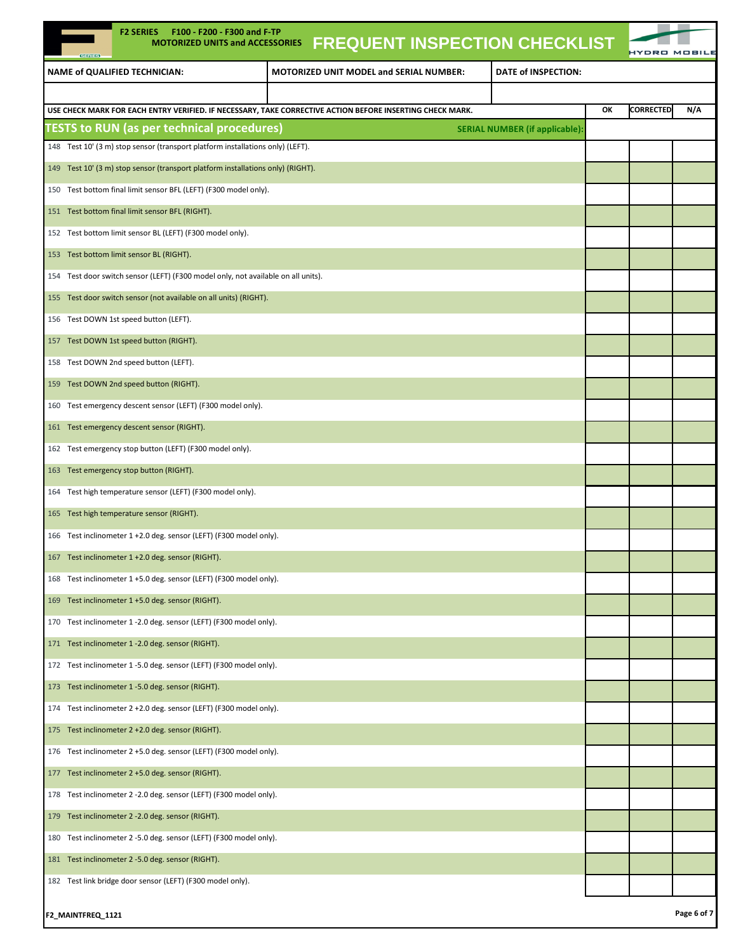| <b>F2 SERIES</b><br>F100 - F200 - F300 and F-TP<br><b>MOTORIZED UNITS and ACCESSORIES</b><br><b>GERIES</b> | <b>FREQUENT INSPECTION CHECKLIST</b>           |                                       |    |                  |             |
|------------------------------------------------------------------------------------------------------------|------------------------------------------------|---------------------------------------|----|------------------|-------------|
| <b>NAME of QUALIFIED TECHNICIAN:</b>                                                                       | <b>MOTORIZED UNIT MODEL and SERIAL NUMBER:</b> | DATE of INSPECTION:                   |    |                  |             |
|                                                                                                            |                                                |                                       |    |                  |             |
| USE CHECK MARK FOR EACH ENTRY VERIFIED. IF NECESSARY, TAKE CORRECTIVE ACTION BEFORE INSERTING CHECK MARK.  |                                                |                                       | ОК | <b>CORRECTED</b> | N/A         |
| <b>TESTS to RUN (as per technical procedures)</b>                                                          |                                                | <b>SERIAL NUMBER (if applicable):</b> |    |                  |             |
| 148 Test 10' (3 m) stop sensor (transport platform installations only) (LEFT).                             |                                                |                                       |    |                  |             |
| 149 Test 10' (3 m) stop sensor (transport platform installations only) (RIGHT).                            |                                                |                                       |    |                  |             |
| 150 Test bottom final limit sensor BFL (LEFT) (F300 model only).                                           |                                                |                                       |    |                  |             |
| 151 Test bottom final limit sensor BFL (RIGHT).                                                            |                                                |                                       |    |                  |             |
| 152 Test bottom limit sensor BL (LEFT) (F300 model only).                                                  |                                                |                                       |    |                  |             |
| 153 Test bottom limit sensor BL (RIGHT).                                                                   |                                                |                                       |    |                  |             |
| 154 Test door switch sensor (LEFT) (F300 model only, not available on all units).                          |                                                |                                       |    |                  |             |
| 155 Test door switch sensor (not available on all units) (RIGHT).                                          |                                                |                                       |    |                  |             |
| 156 Test DOWN 1st speed button (LEFT).                                                                     |                                                |                                       |    |                  |             |
| 157 Test DOWN 1st speed button (RIGHT).                                                                    |                                                |                                       |    |                  |             |
| 158 Test DOWN 2nd speed button (LEFT).                                                                     |                                                |                                       |    |                  |             |
| 159 Test DOWN 2nd speed button (RIGHT).                                                                    |                                                |                                       |    |                  |             |
| 160 Test emergency descent sensor (LEFT) (F300 model only).                                                |                                                |                                       |    |                  |             |
| 161 Test emergency descent sensor (RIGHT).                                                                 |                                                |                                       |    |                  |             |
| 162 Test emergency stop button (LEFT) (F300 model only).                                                   |                                                |                                       |    |                  |             |
| 163 Test emergency stop button (RIGHT).                                                                    |                                                |                                       |    |                  |             |
| 164 Test high temperature sensor (LEFT) (F300 model only).                                                 |                                                |                                       |    |                  |             |
| 165 Test high temperature sensor (RIGHT).                                                                  |                                                |                                       |    |                  |             |
| 166 Test inclinometer 1 +2.0 deg. sensor (LEFT) (F300 model only).                                         |                                                |                                       |    |                  |             |
| 167 Test inclinometer 1 +2.0 deg. sensor (RIGHT).                                                          |                                                |                                       |    |                  |             |
| 168 Test inclinometer 1 +5.0 deg. sensor (LEFT) (F300 model only).                                         |                                                |                                       |    |                  |             |
| 169 Test inclinometer 1 +5.0 deg. sensor (RIGHT).                                                          |                                                |                                       |    |                  |             |
| 170 Test inclinometer 1 -2.0 deg. sensor (LEFT) (F300 model only).                                         |                                                |                                       |    |                  |             |
| 171 Test inclinometer 1 - 2.0 deg. sensor (RIGHT).                                                         |                                                |                                       |    |                  |             |
| 172 Test inclinometer 1 -5.0 deg. sensor (LEFT) (F300 model only).                                         |                                                |                                       |    |                  |             |
| 173 Test inclinometer 1 -5.0 deg. sensor (RIGHT).                                                          |                                                |                                       |    |                  |             |
| 174 Test inclinometer 2 +2.0 deg. sensor (LEFT) (F300 model only).                                         |                                                |                                       |    |                  |             |
| 175 Test inclinometer 2 +2.0 deg. sensor (RIGHT).                                                          |                                                |                                       |    |                  |             |
| 176 Test inclinometer 2 +5.0 deg. sensor (LEFT) (F300 model only).                                         |                                                |                                       |    |                  |             |
| 177 Test inclinometer 2 +5.0 deg. sensor (RIGHT).                                                          |                                                |                                       |    |                  |             |
| 178 Test inclinometer 2 -2.0 deg. sensor (LEFT) (F300 model only).                                         |                                                |                                       |    |                  |             |
| 179 Test inclinometer 2 - 2.0 deg. sensor (RIGHT).                                                         |                                                |                                       |    |                  |             |
| 180 Test inclinometer 2 -5.0 deg. sensor (LEFT) (F300 model only).                                         |                                                |                                       |    |                  |             |
| 181 Test inclinometer 2 -5.0 deg. sensor (RIGHT).                                                          |                                                |                                       |    |                  |             |
| 182 Test link bridge door sensor (LEFT) (F300 model only).                                                 |                                                |                                       |    |                  |             |
| F2_MAINTFREQ_1121                                                                                          |                                                |                                       |    |                  | Page 6 of 7 |

| F2 MAINTFREQ 1121 |  |
|-------------------|--|
|-------------------|--|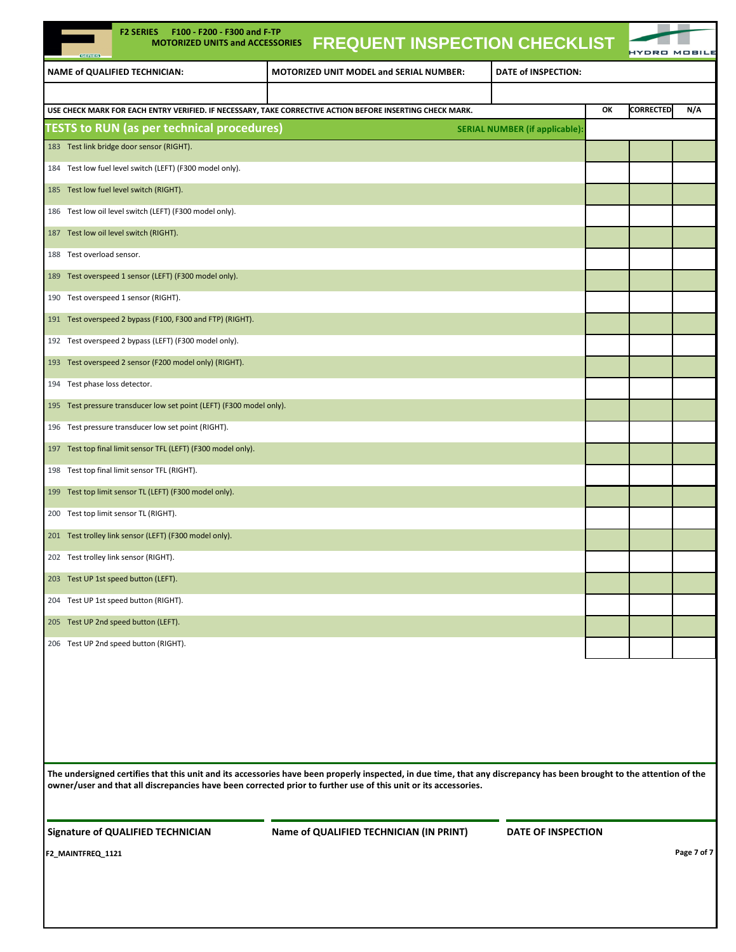| <b>F2 SERIES</b><br>F100 - F200 - F300 and F-TP<br><b>FREQUENT INSPECTION CHECKLIST</b><br><b>MOTORIZED UNITS and ACCESSORIES</b><br><b>SERIES</b> |    | HYDRO            |     |
|----------------------------------------------------------------------------------------------------------------------------------------------------|----|------------------|-----|
| NAME of QUALIFIED TECHNICIAN:<br>DATE of INSPECTION:<br><b>MOTORIZED UNIT MODEL and SERIAL NUMBER:</b>                                             |    |                  |     |
|                                                                                                                                                    |    |                  |     |
| USE CHECK MARK FOR EACH ENTRY VERIFIED. IF NECESSARY, TAKE CORRECTIVE ACTION BEFORE INSERTING CHECK MARK.                                          | ОК | <b>CORRECTED</b> | N/A |
| <b>TESTS to RUN (as per technical procedures)</b><br><b>SERIAL NUMBER (if applicable):</b>                                                         |    |                  |     |
| 183 Test link bridge door sensor (RIGHT).                                                                                                          |    |                  |     |
| Test low fuel level switch (LEFT) (F300 model only).<br>184                                                                                        |    |                  |     |
| 185 Test low fuel level switch (RIGHT).                                                                                                            |    |                  |     |
| 186 Test low oil level switch (LEFT) (F300 model only).                                                                                            |    |                  |     |
| 187 Test low oil level switch (RIGHT).                                                                                                             |    |                  |     |
| Test overload sensor.<br>188                                                                                                                       |    |                  |     |
| Test overspeed 1 sensor (LEFT) (F300 model only).<br>189                                                                                           |    |                  |     |
| 190 Test overspeed 1 sensor (RIGHT).                                                                                                               |    |                  |     |
| 191 Test overspeed 2 bypass (F100, F300 and FTP) (RIGHT).                                                                                          |    |                  |     |
| 192 Test overspeed 2 bypass (LEFT) (F300 model only).                                                                                              |    |                  |     |
| Test overspeed 2 sensor (F200 model only) (RIGHT).<br>193                                                                                          |    |                  |     |
| Test phase loss detector.<br>194                                                                                                                   |    |                  |     |
| Test pressure transducer low set point (LEFT) (F300 model only).<br>195                                                                            |    |                  |     |
| 196 Test pressure transducer low set point (RIGHT).                                                                                                |    |                  |     |
| 197 Test top final limit sensor TFL (LEFT) (F300 model only).                                                                                      |    |                  |     |
| Test top final limit sensor TFL (RIGHT).<br>198                                                                                                    |    |                  |     |
| Test top limit sensor TL (LEFT) (F300 model only).<br>199                                                                                          |    |                  |     |
| 200 Test top limit sensor TL (RIGHT).                                                                                                              |    |                  |     |
| 201 Test trolley link sensor (LEFT) (F300 model only).                                                                                             |    |                  |     |
| 202 Test trolley link sensor (RIGHT).                                                                                                              |    |                  |     |
| 203 Test UP 1st speed button (LEFT).                                                                                                               |    |                  |     |
| 204 Test UP 1st speed button (RIGHT).                                                                                                              |    |                  |     |
| 205 Test UP 2nd speed button (LEFT).                                                                                                               |    |                  |     |
| 206 Test UP 2nd speed button (RIGHT).                                                                                                              |    |                  |     |

**The undersigned certifies that this unit and its accessories have been properly inspected, in due time, that any discrepancy has been brought to the attention of the owner/user and that all discrepancies have been corrected prior to further use of this unit or its accessories.** 

**Signature of QUALIFIED TECHNICIAN Name of QUALIFIED TECHNICIAN (IN PRINT) DATE OF INSPECTION**

**F2\_MAINTFREQ\_1121 Page 7 of 7**